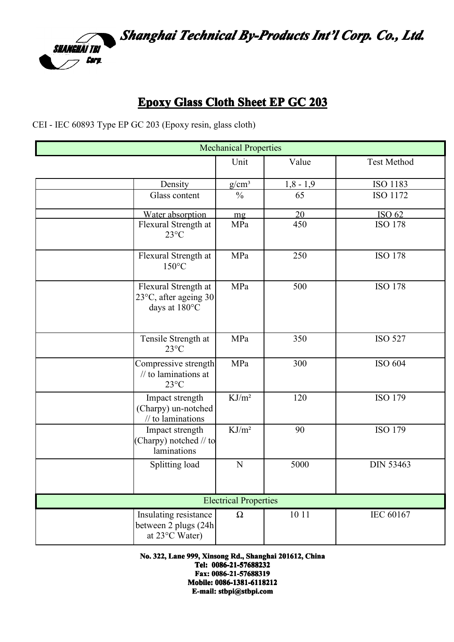

## **Epoxy Glass Cloth Sheet EP GC 203**

CEI - IEC 60893 Type EP GC 203 (Epoxy resin, glass cloth)

| <b>Mechanical Properties</b> |                                                                            |                   |             |                    |  |  |
|------------------------------|----------------------------------------------------------------------------|-------------------|-------------|--------------------|--|--|
|                              |                                                                            | Unit              | Value       | <b>Test Method</b> |  |  |
|                              | Density                                                                    | $g/cm^3$          | $1,8 - 1,9$ | ISO 1183           |  |  |
|                              | Glass content                                                              | $\frac{0}{0}$     | 65          | <b>ISO 1172</b>    |  |  |
|                              | Water absorption                                                           | mg                | 20          | ISO 62             |  |  |
|                              | Flexural Strength at<br>$23^{\circ}$ C                                     | MPa               | 450         | <b>ISO 178</b>     |  |  |
|                              | Flexural Strength at<br>$150^{\circ}$ C                                    | MPa               | 250         | <b>ISO 178</b>     |  |  |
|                              | Flexural Strength at<br>23°C, after ageing 30<br>days at 180°C             | MPa               | 500         | <b>ISO 178</b>     |  |  |
|                              | Tensile Strength at<br>$23^{\circ}C$                                       | MPa               | 350         | <b>ISO 527</b>     |  |  |
|                              | Compressive strength<br>$\frac{1}{10}$ to laminations at<br>$23^{\circ}$ C | MPa               | 300         | ISO 604            |  |  |
|                              | Impact strength<br>(Charpy) un-notched<br>$\frac{1}{10}$ to laminations    | KJ/m <sup>2</sup> | 120         | <b>ISO 179</b>     |  |  |
|                              | Impact strength<br>Charpy) notched // to<br>laminations                    | KJ/m <sup>2</sup> | 90          | <b>ISO 179</b>     |  |  |
|                              | Splitting load                                                             | N                 | 5000        | <b>DIN 53463</b>   |  |  |
| <b>Electrical Properties</b> |                                                                            |                   |             |                    |  |  |
|                              | Insulating resistance<br>between 2 plugs (24h<br>at 23°C Water)            | $\Omega$          | 10 11       | IEC 60167          |  |  |

**No. 322, Lane 999, Xinsong Rd., Shanghai 201612, 201612,201612,China**

**Tel: 0086-21-57688232 0086-21-57688232 Fax: 0086-21-57688319 Mobile: Mobile: Mobile: Mobile: 0086-1381-6118212 0086-1381-6118212 0086-1381-61182120086-1381-6118212 E-mail: stbpi@stbpi.com**